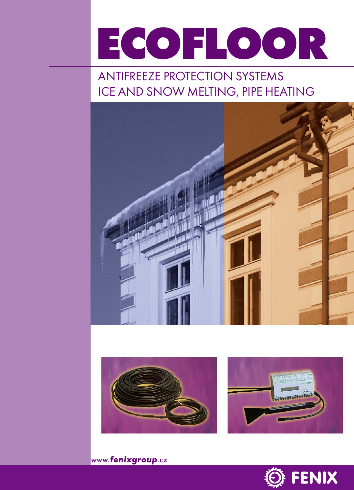# **ECOFLOOR**

# ANTIFREEZE PROTECTION SYSTEMS ICE AND SNOW MELTING, PIPE HEATING







www.**fenixgroup**.cz